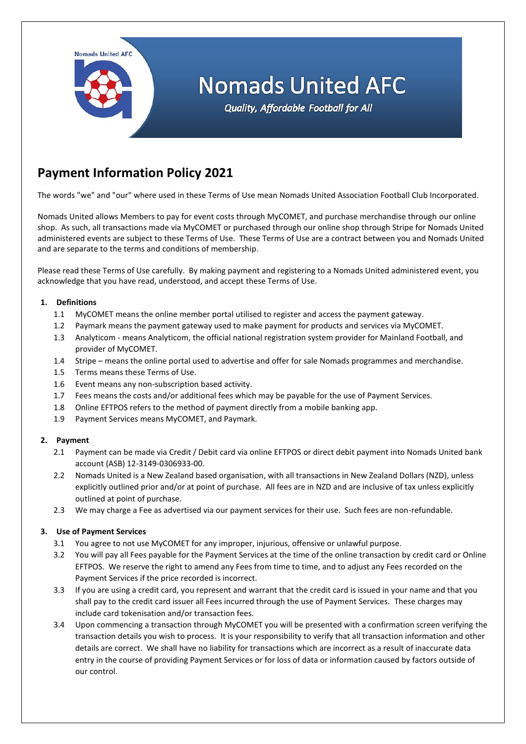

# **Payment Information Policy 2021**

The words "we" and "our" where used in these Terms of Use mean Nomads United Association Football Club Incorporated.

Nomads United allows Members to pay for event costs through MyCOMET, and purchase merchandise through our online shop. As such, all transactions made via MyCOMET or purchased through our online shop through Stripe for Nomads United administered events are subject to these Terms of Use. These Terms of Use are a contract between you and Nomads United and are separate to the terms and conditions of membership.

Please read these Terms of Use carefully. By making payment and registering to a Nomads United administered event, you acknowledge that you have read, understood, and accept these Terms of Use.

## **1. Definitions**

- 1.1 MyCOMET means the online member portal utilised to register and access the payment gateway.
- 1.2 Paymark means the payment gateway used to make payment for products and services via MyCOMET.
- 1.3 Analyticom means Analyticom, the official national registration system provider for Mainland Football, and provider of MyCOMET.
- 1.4 Stripe means the online portal used to advertise and offer for sale Nomads programmes and merchandise.
- 1.5 Terms means these Terms of Use.
- 1.6 Event means any non-subscription based activity.
- 1.7 Fees means the costs and/or additional fees which may be payable for the use of Payment Services.
- 1.8 Online EFTPOS refers to the method of payment directly from a mobile banking app.
- 1.9 Payment Services means MyCOMET, and Paymark.

## **2. Payment**

- 2.1 Payment can be made via Credit / Debit card via online EFTPOS or direct debit payment into Nomads United bank account (ASB) 12-3149-0306933-00.
- 2.2 Nomads United is a New Zealand based organisation, with all transactions in New Zealand Dollars (NZD), unless explicitly outlined prior and/or at point of purchase. All fees are in NZD and are inclusive of tax unless explicitly outlined at point of purchase.
- 2.3 We may charge a Fee as advertised via our payment services for their use. Such fees are non-refundable.

## **3. Use of Payment Services**

- 3.1 You agree to not use MyCOMET for any improper, injurious, offensive or unlawful purpose.
- 3.2 You will pay all Fees payable for the Payment Services at the time of the online transaction by credit card or Online EFTPOS. We reserve the right to amend any Fees from time to time, and to adjust any Fees recorded on the Payment Services if the price recorded is incorrect.
- 3.3 If you are using a credit card, you represent and warrant that the credit card is issued in your name and that you shall pay to the credit card issuer all Fees incurred through the use of Payment Services. These charges may include card tokenisation and/or transaction fees.
- 3.4 Upon commencing a transaction through MyCOMET you will be presented with a confirmation screen verifying the transaction details you wish to process. It is your responsibility to verify that all transaction information and other details are correct. We shall have no liability for transactions which are incorrect as a result of inaccurate data entry in the course of providing Payment Services or for loss of data or information caused by factors outside of our control.